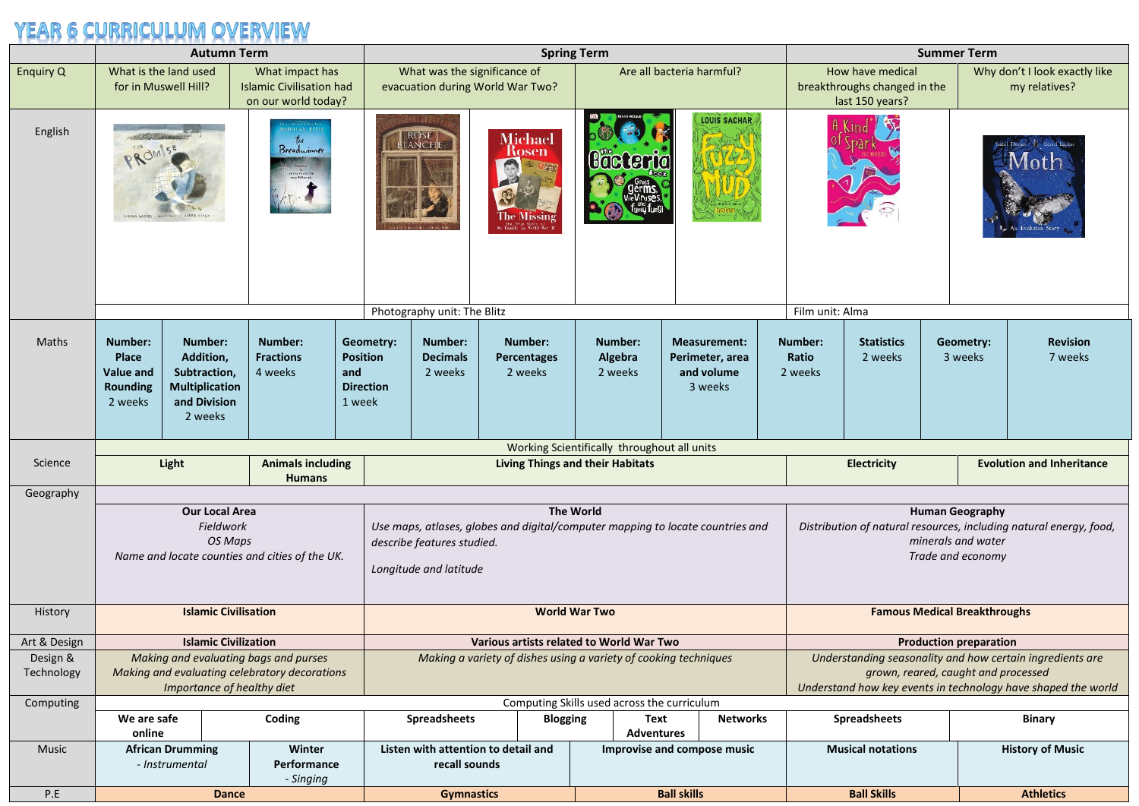## **YEAR 6 CURRICULUM OVERVIEW**

|                        | <b>Autumn Term</b>                                                                                                   |                                                                                          |                                                                           |                                  | <b>Spring Term</b>                                                                                                                                         |                                             |                                             |                                          |                               |                 |                                                          |                                                                                                                                                                   | <b>Summer Term</b>                                                  |                              |                         |                                                |                            |
|------------------------|----------------------------------------------------------------------------------------------------------------------|------------------------------------------------------------------------------------------|---------------------------------------------------------------------------|----------------------------------|------------------------------------------------------------------------------------------------------------------------------------------------------------|---------------------------------------------|---------------------------------------------|------------------------------------------|-------------------------------|-----------------|----------------------------------------------------------|-------------------------------------------------------------------------------------------------------------------------------------------------------------------|---------------------------------------------------------------------|------------------------------|-------------------------|------------------------------------------------|----------------------------|
| Enquiry Q              | What is the land used<br>for in Muswell Hill?                                                                        |                                                                                          | What impact has<br><b>Islamic Civilisation had</b><br>on our world today? |                                  | What was the significance of<br>evacuation during World War Two?                                                                                           |                                             |                                             |                                          | Are all bacteria harmful?     |                 |                                                          |                                                                                                                                                                   | How have medical<br>breakthroughs changed in the<br>last 150 years? |                              |                         | Why don't I look exactly like<br>my relatives? |                            |
| English                | PRO<br>NICCLA DAVIE                                                                                                  |                                                                                          | Breadwinner                                                               |                                  | Michael<br><b>Rosen</b><br>The Missing                                                                                                                     |                                             |                                             | <b>LOUIS SACHAR</b><br><b>LEGG CATTO</b> |                               |                 |                                                          |                                                                                                                                                                   |                                                                     |                              |                         |                                                |                            |
|                        |                                                                                                                      |                                                                                          |                                                                           |                                  | Photography unit: The Blitz                                                                                                                                |                                             |                                             |                                          |                               |                 |                                                          |                                                                                                                                                                   | Film unit: Alma                                                     |                              |                         |                                                |                            |
| Maths                  | Number:<br>Place<br><b>Value and</b><br><b>Rounding</b><br>2 weeks                                                   | Number:<br>Addition,<br>Subtraction,<br><b>Multiplication</b><br>and Division<br>2 weeks | Number:<br><b>Fractions</b><br>4 weeks                                    | <b>Position</b><br>and<br>1 week | Geometry:<br><b>Direction</b>                                                                                                                              | Number:<br><b>Decimals</b><br>2 weeks       | Number:<br><b>Percentages</b><br>2 weeks    |                                          | Number:<br>Algebra<br>2 weeks |                 | Measurement:<br>Perimeter, area<br>and volume<br>3 weeks |                                                                                                                                                                   | Number:<br>Ratio<br>2 weeks                                         | <b>Statistics</b><br>2 weeks |                         | Geometry:<br>3 weeks                           | <b>Revision</b><br>7 weeks |
|                        |                                                                                                                      |                                                                                          |                                                                           |                                  |                                                                                                                                                            |                                             | Working Scientifically throughout all units |                                          |                               |                 |                                                          |                                                                                                                                                                   |                                                                     |                              |                         |                                                |                            |
| Science                | Light<br><b>Animals including</b><br><b>Humans</b>                                                                   |                                                                                          |                                                                           |                                  | <b>Living Things and their Habitats</b>                                                                                                                    |                                             |                                             |                                          |                               |                 |                                                          | <b>Electricity</b><br><b>Evolution and Inheritance</b>                                                                                                            |                                                                     |                              |                         |                                                |                            |
| Geography              |                                                                                                                      |                                                                                          |                                                                           |                                  |                                                                                                                                                            |                                             |                                             |                                          |                               |                 |                                                          |                                                                                                                                                                   |                                                                     |                              |                         |                                                |                            |
|                        | <b>Our Local Area</b><br><b>Fieldwork</b><br>OS Maps<br>Name and locate counties and cities of the UK.               |                                                                                          |                                                                           |                                  | <b>The World</b><br>Use maps, atlases, globes and digital/computer mapping to locate countries and<br>describe features studied.<br>Longitude and latitude |                                             |                                             |                                          |                               |                 |                                                          | <b>Human Geography</b><br>Distribution of natural resources, including natural energy, food,<br>minerals and water<br>Trade and economy                           |                                                                     |                              |                         |                                                |                            |
| History                | <b>Islamic Civilisation</b>                                                                                          |                                                                                          |                                                                           |                                  | <b>World War Two</b>                                                                                                                                       |                                             |                                             |                                          |                               |                 |                                                          |                                                                                                                                                                   | <b>Famous Medical Breakthroughs</b>                                 |                              |                         |                                                |                            |
| Art & Design           | <b>Islamic Civilization</b>                                                                                          |                                                                                          |                                                                           |                                  | Various artists related to World War Two                                                                                                                   |                                             |                                             |                                          |                               |                 |                                                          |                                                                                                                                                                   | <b>Production preparation</b>                                       |                              |                         |                                                |                            |
| Design &<br>Technology | Making and evaluating bags and purses<br>Making and evaluating celebratory decorations<br>Importance of healthy diet |                                                                                          |                                                                           |                                  | Making a variety of dishes using a variety of cooking techniques                                                                                           |                                             |                                             |                                          |                               |                 |                                                          | Understanding seasonality and how certain ingredients are<br>grown, reared, caught and processed<br>Understand how key events in technology have shaped the world |                                                                     |                              |                         |                                                |                            |
| Computing              |                                                                                                                      |                                                                                          |                                                                           |                                  |                                                                                                                                                            | Computing Skills used across the curriculum |                                             |                                          |                               |                 |                                                          |                                                                                                                                                                   |                                                                     |                              |                         |                                                |                            |
|                        | We are safe<br>online                                                                                                |                                                                                          | Coding                                                                    |                                  | <b>Spreadsheets</b>                                                                                                                                        |                                             | <b>Blogging</b>                             | Text<br><b>Adventures</b>                |                               | <b>Networks</b> |                                                          | <b>Spreadsheets</b>                                                                                                                                               |                                                                     |                              | <b>Binary</b>           |                                                |                            |
| Music                  |                                                                                                                      | <b>African Drumming</b><br>- Instrumental                                                | Winter<br>Performance<br>- Singing                                        |                                  | Listen with attention to detail and<br>recall sounds                                                                                                       |                                             |                                             | Improvise and compose music              |                               |                 |                                                          | <b>Musical notations</b>                                                                                                                                          |                                                                     |                              | <b>History of Music</b> |                                                |                            |
| P.E                    | <b>Dance</b>                                                                                                         |                                                                                          |                                                                           |                                  | <b>Gymnastics</b>                                                                                                                                          |                                             |                                             |                                          | <b>Ball skills</b>            |                 |                                                          |                                                                                                                                                                   |                                                                     | <b>Ball Skills</b>           |                         |                                                | <b>Athletics</b>           |